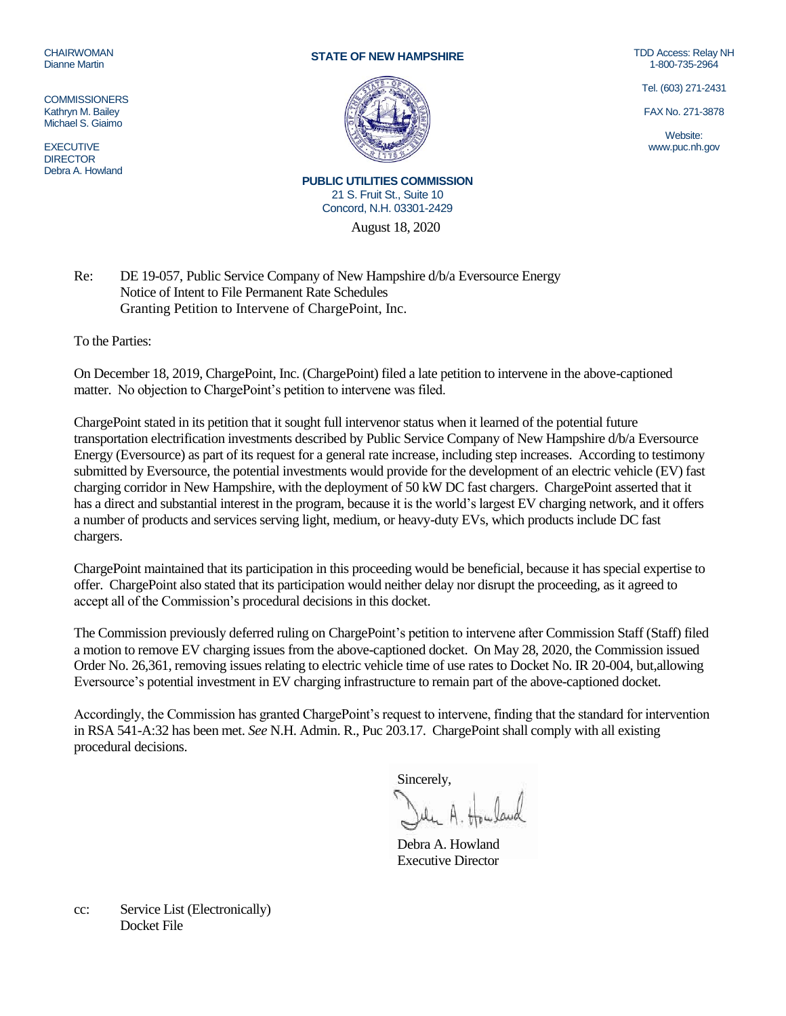## CHAIRWOMAN Dianne Martin

**COMMISSIONERS** Kathryn M. Bailey Michael S. Giaimo

EXECUTIVE **DIRECTOR** Debra A. Howland

## **STATE OF NEW HAMPSHIRE**



TDD Access: Relay NH 1-800-735-2964

Tel. (603) 271-2431

FAX No. 271-3878

Website: www.puc.nh.gov

August 18, 2020 **PUBLIC UTILITIES COMMISSION** 21 S. Fruit St., Suite 10 Concord, N.H. 03301-2429

Re: DE 19-057, Public Service Company of New Hampshire d/b/a Eversource Energy Notice of Intent to File Permanent Rate Schedules Granting Petition to Intervene of ChargePoint, Inc.

To the Parties:

On December 18, 2019, ChargePoint, Inc. (ChargePoint) filed a late petition to intervene in the above-captioned matter. No objection to ChargePoint's petition to intervene was filed.

ChargePoint stated in its petition that it sought full intervenor status when it learned of the potential future transportation electrification investments described by Public Service Company of New Hampshire d/b/a Eversource Energy (Eversource) as part of its request for a general rate increase, including step increases. According to testimony submitted by Eversource, the potential investments would provide for the development of an electric vehicle (EV) fast charging corridor in New Hampshire, with the deployment of 50 kW DC fast chargers. ChargePoint asserted that it has a direct and substantial interest in the program, because it is the world's largest EV charging network, and it offers a number of products and services serving light, medium, or heavy-duty EVs, which products include DC fast chargers.

ChargePoint maintained that its participation in this proceeding would be beneficial, because it has special expertise to offer. ChargePoint also stated that its participation would neither delay nor disrupt the proceeding, as it agreed to accept all of the Commission's procedural decisions in this docket.

The Commission previously deferred ruling on ChargePoint's petition to intervene after Commission Staff (Staff) filed a motion to remove EV charging issues from the above-captioned docket. On May 28, 2020, the Commission issued Order No. 26,361, removing issues relating to electric vehicle time of use rates to Docket No. IR 20-004, but,allowing Eversource's potential investment in EV charging infrastructure to remain part of the above-captioned docket.

Accordingly, the Commission has granted ChargePoint's request to intervene, finding that the standard for intervention in RSA 541-A:32 has been met. *See* N.H. Admin. R., Puc 203.17. ChargePoint shall comply with all existing procedural decisions.

Sincerely,

Debra A. Howland Executive Director

cc: Service List (Electronically) Docket File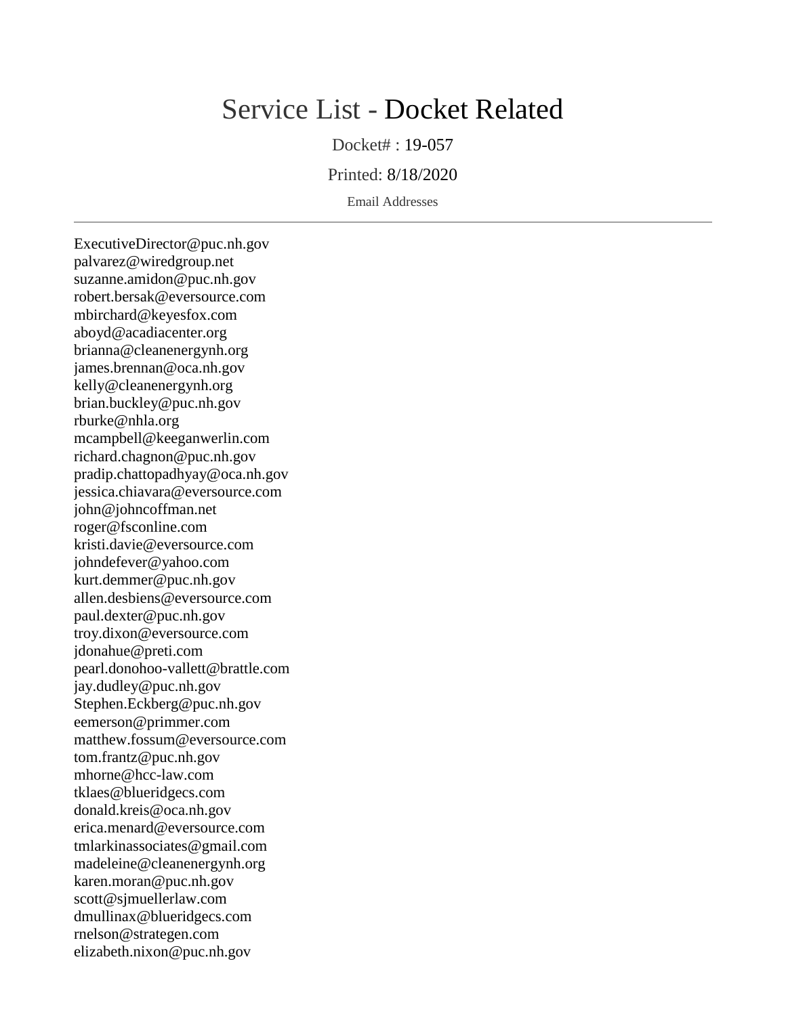## Service List - Docket Related

Docket# : 19-057

Printed: 8/18/2020

Email Addresses

ExecutiveDirector@puc.nh.gov palvarez@wiredgroup.net suzanne.amidon@puc.nh.gov robert.bersak@eversource.com mbirchard@keyesfox.com aboyd@acadiacenter.org brianna@cleanenergynh.org james.brennan@oca.nh.gov kelly@cleanenergynh.org brian.buckley@puc.nh.gov rburke@nhla.org mcampbell@keeganwerlin.com richard.chagnon@puc.nh.gov pradip.chattopadhyay@oca.nh.gov jessica.chiavara@eversource.com john@johncoffman.net roger@fsconline.com kristi.davie@eversource.com johndefever@yahoo.com kurt.demmer@puc.nh.gov allen.desbiens@eversource.com paul.dexter@puc.nh.gov troy.dixon@eversource.com jdonahue@preti.com pearl.donohoo-vallett@brattle.com jay.dudley@puc.nh.gov Stephen.Eckberg@puc.nh.gov eemerson@primmer.com matthew.fossum@eversource.com tom.frantz@puc.nh.gov mhorne@hcc-law.com tklaes@blueridgecs.com donald.kreis@oca.nh.gov erica.menard@eversource.com tmlarkinassociates@gmail.com madeleine@cleanenergynh.org karen.moran@puc.nh.gov scott@sjmuellerlaw.com dmullinax@blueridgecs.com rnelson@strategen.com elizabeth.nixon@puc.nh.gov